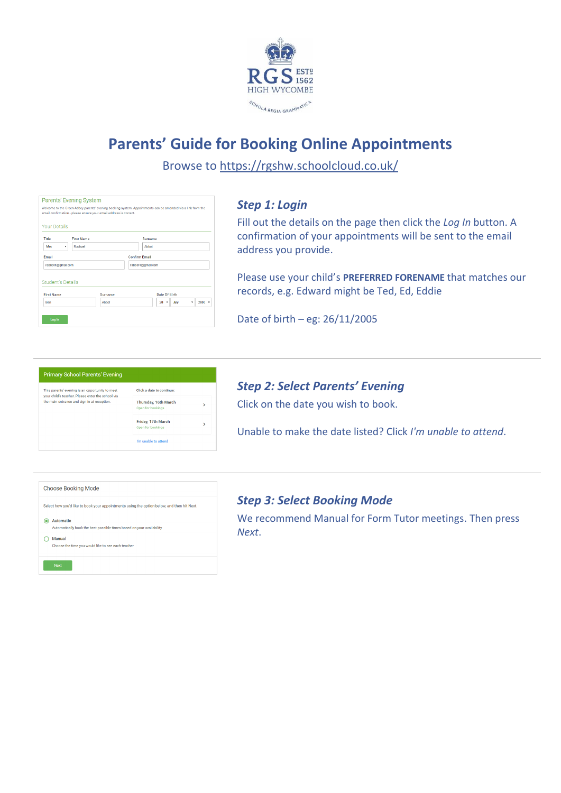

# **Parents' Guide for Booking Online Appointments**

Browse to https://rgshw.schoolcloud.co.uk/

|                          | email confirmation - please ensure your email address is correct. |                      | Welcome to the Green Abbey parents' evening booking system. Appointments can be amended via a link from the |  |
|--------------------------|-------------------------------------------------------------------|----------------------|-------------------------------------------------------------------------------------------------------------|--|
| <b>Your Details</b>      |                                                                   |                      |                                                                                                             |  |
| Title                    | <b>First Name</b>                                                 |                      | Surname                                                                                                     |  |
| <b>Mrs</b>               | Rachael<br>۰                                                      |                      | Abbot                                                                                                       |  |
| <b>Email</b>             |                                                                   | <b>Confirm Email</b> |                                                                                                             |  |
| rabbot4@qmail.com        |                                                                   |                      | rabbot4@qmail.com                                                                                           |  |
| <b>Student's Details</b> |                                                                   |                      | Date Of Birth                                                                                               |  |
| <b>First Name</b>        |                                                                   | Surname              |                                                                                                             |  |

# *Step 1: Login*

Fill out the details on the page then click the *Log In* button. A confirmation of your appointments will be sent to the email address you provide.

Please use your child's **PREFERRED FORENAME** that matches our records, e.g. Edward might be Ted, Ed, Eddie

Date of birth – eg: 26/11/2005

| <b>Primary School Parents' Evening</b>                                                               |                                           |   |
|------------------------------------------------------------------------------------------------------|-------------------------------------------|---|
| This parents' evening is an opportunity to meet<br>your child's teacher. Please enter the school via | Click a date to continue:                 |   |
| the main entrance and sign in at reception.                                                          | Thursday, 16th March<br>Open for bookings | > |
|                                                                                                      | Friday, 17th March<br>Open for bookings   | > |
|                                                                                                      | I'm unable to attend                      |   |

#### *Step 2: Select Parents' Evening*

Click on the date you wish to book.

Unable to make the date listed? Click *I'm unable to attend*.

| <b>Choose Booking Mode</b>                                                                                                                                |
|-----------------------------------------------------------------------------------------------------------------------------------------------------------|
| Select how you'd like to book your appointments using the option below, and then hit Next.                                                                |
| <b>Automatic</b><br>Automatically book the best possible times based on your availability<br>Manual<br>Choose the time you would like to see each teacher |
| <b>Next</b>                                                                                                                                               |

#### *Step 3: Select Booking Mode*

We recommend Manual for Form Tutor meetings. Then press *Next*.